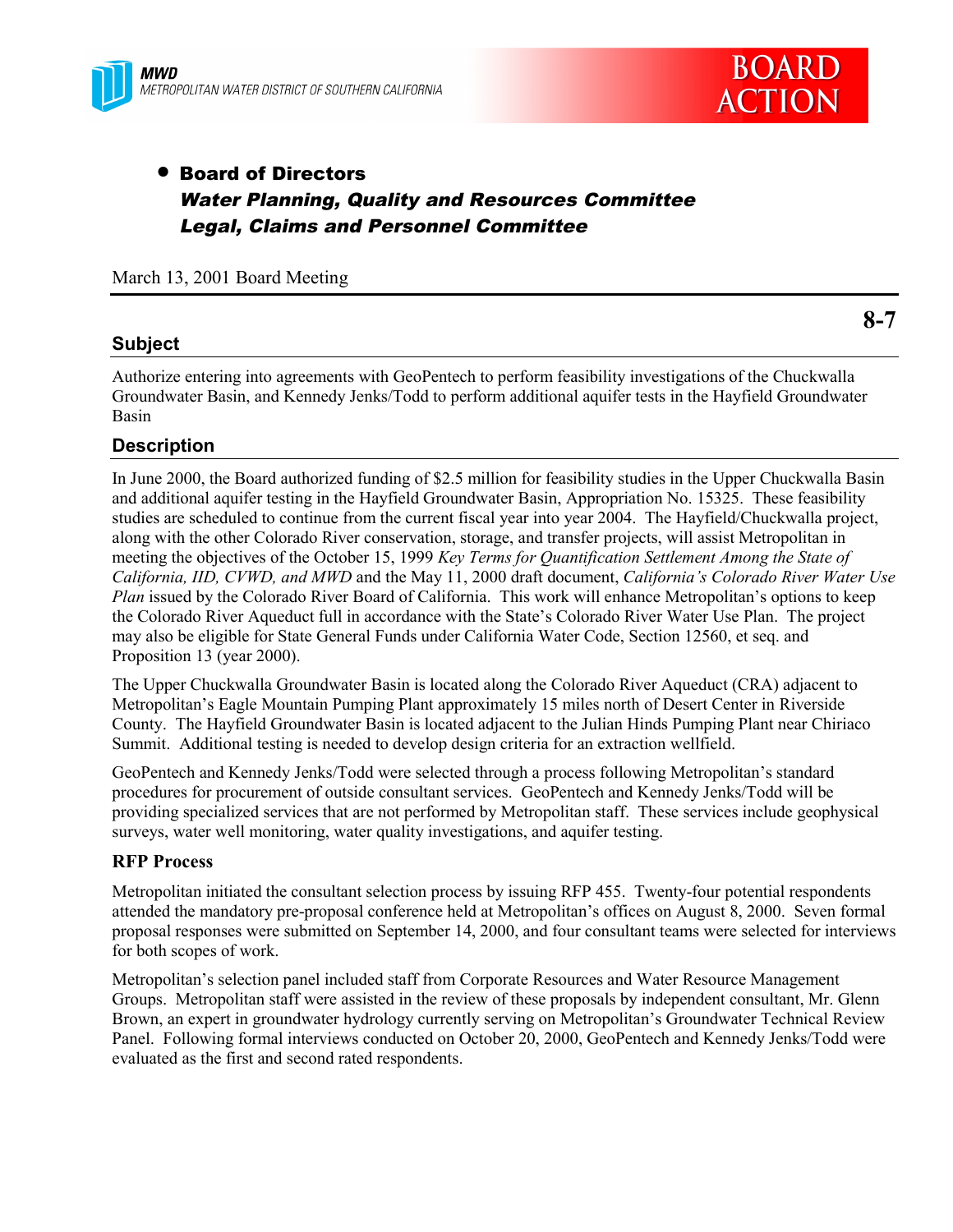



# • Board of Directors Water Planning, Quality and Resources Committee Legal, Claims and Personnel Committee

March 13, 2001 Board Meeting

# **Subject**

Authorize entering into agreements with GeoPentech to perform feasibility investigations of the Chuckwalla Groundwater Basin, and Kennedy Jenks/Todd to perform additional aquifer tests in the Hayfield Groundwater Basin

# **Description**

In June 2000, the Board authorized funding of \$2.5 million for feasibility studies in the Upper Chuckwalla Basin and additional aquifer testing in the Hayfield Groundwater Basin, Appropriation No. 15325. These feasibility studies are scheduled to continue from the current fiscal year into year 2004. The Hayfield/Chuckwalla project, along with the other Colorado River conservation, storage, and transfer projects, will assist Metropolitan in meeting the objectives of the October 15, 1999 *Key Terms for Quantification Settlement Among the State of California, IID, CVWD, and MWD* and the May 11, 2000 draft document, *California's Colorado River Water Use Plan* issued by the Colorado River Board of California. This work will enhance Metropolitan's options to keep the Colorado River Aqueduct full in accordance with the State's Colorado River Water Use Plan. The project may also be eligible for State General Funds under California Water Code, Section 12560, et seq. and Proposition 13 (year 2000).

The Upper Chuckwalla Groundwater Basin is located along the Colorado River Aqueduct (CRA) adjacent to Metropolitan's Eagle Mountain Pumping Plant approximately 15 miles north of Desert Center in Riverside County. The Hayfield Groundwater Basin is located adjacent to the Julian Hinds Pumping Plant near Chiriaco Summit. Additional testing is needed to develop design criteria for an extraction wellfield.

GeoPentech and Kennedy Jenks/Todd were selected through a process following Metropolitan's standard procedures for procurement of outside consultant services. GeoPentech and Kennedy Jenks/Todd will be providing specialized services that are not performed by Metropolitan staff. These services include geophysical surveys, water well monitoring, water quality investigations, and aquifer testing.

### **RFP Process**

Metropolitan initiated the consultant selection process by issuing RFP 455. Twenty-four potential respondents attended the mandatory pre-proposal conference held at Metropolitan's offices on August 8, 2000. Seven formal proposal responses were submitted on September 14, 2000, and four consultant teams were selected for interviews for both scopes of work.

Metropolitan's selection panel included staff from Corporate Resources and Water Resource Management Groups. Metropolitan staff were assisted in the review of these proposals by independent consultant, Mr. Glenn Brown, an expert in groundwater hydrology currently serving on Metropolitan's Groundwater Technical Review Panel. Following formal interviews conducted on October 20, 2000, GeoPentech and Kennedy Jenks/Todd were evaluated as the first and second rated respondents.